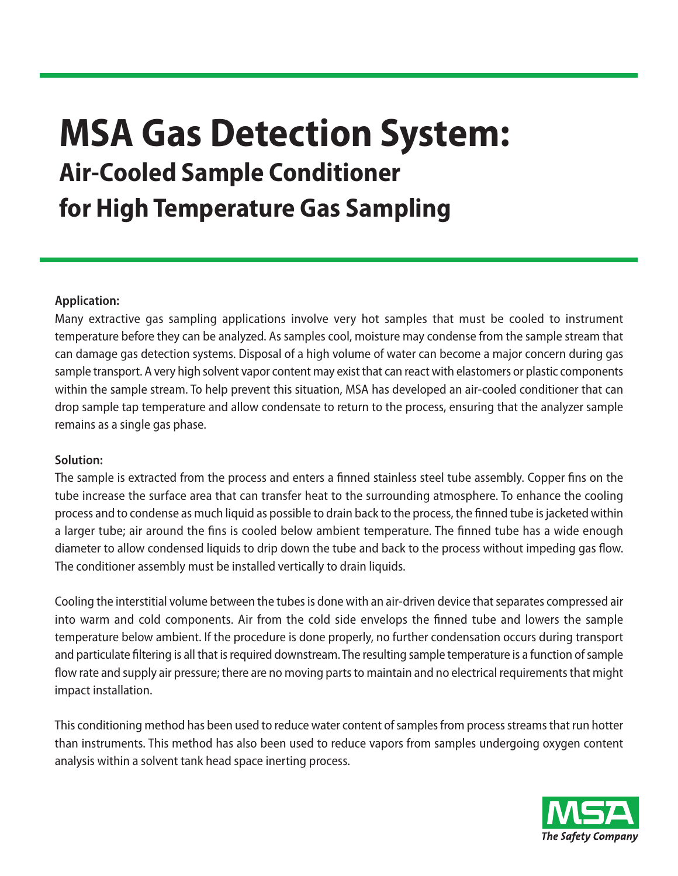## **MSA Gas Detection System: Air-Cooled Sample Conditioner for High Temperature Gas Sampling**

## **Application:**

Many extractive gas sampling applications involve very hot samples that must be cooled to instrument temperature before they can be analyzed. As samples cool, moisture may condense from the sample stream that can damage gas detection systems. Disposal of a high volume of water can become a major concern during gas sample transport. A very high solvent vapor content may exist that can react with elastomers or plastic components within the sample stream. To help prevent this situation, MSA has developed an air-cooled conditioner that can drop sample tap temperature and allow condensate to return to the process, ensuring that the analyzer sample remains as a single gas phase.

## **Solution:**

The sample is extracted from the process and enters a finned stainless steel tube assembly. Copper fins on the tube increase the surface area that can transfer heat to the surrounding atmosphere. To enhance the cooling process and to condense as much liquid as possible to drain back to the process, the finned tube isjacketedwithin a larger tube; air around the fins is cooled below ambient temperature. The finned tube has a wide enough diameter to allow condensed liquids to drip down the tube and back to the process without impeding gas flow. The conditioner assembly must be installed vertically to drain liquids.

Cooling the interstitial volume between the tubes is done with an air-driven device that separates compressed air into warm and cold components. Air from the cold side envelops the finned tube and lowers the sample temperature below ambient. If the procedure is done properly, no further condensation occurs during transport and particulate filtering is all that is required downstream. The resulting sample temperature is a function of sample flow rate and supply air pressure; there are no moving parts to maintain and no electrical requirements that might impact installation.

This conditioning method has been used to reduce water content of samples from process streams that run hotter than instruments. This method has also been used to reduce vapors from samples undergoing oxygen content analysis within a solvent tank head space inerting process.